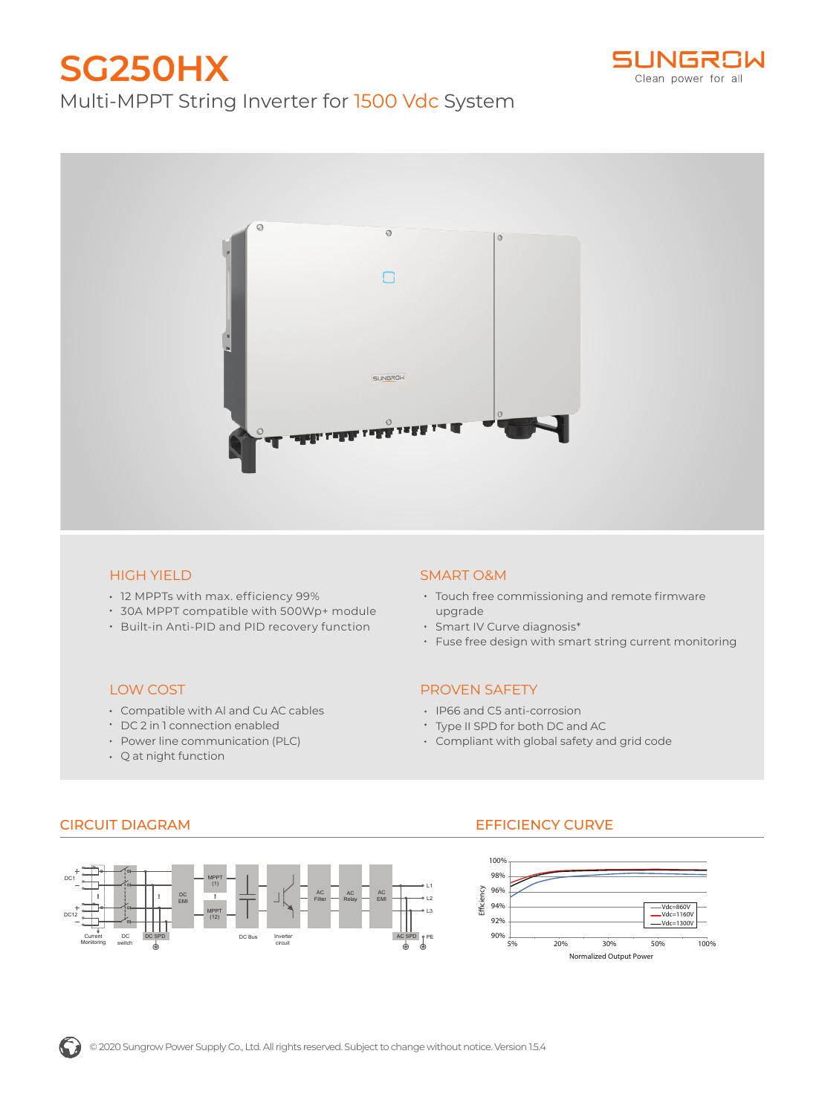# **SG250HX** Multi-MPPT String Inverter for 1500 Vdc System





## HIGH YIELD

LOW COST

12 MPPTs with max. efficiency 99%

Compatible with Al and Cu AC cables DC 2 in 1 connection enabled • Power line communication (PLC)

- 30A MPPT compatible with 500Wp+ module
- Built-in Anti-PID and PID recovery function

## SMART O&M

- Touch free commissioning and remote firmware upgrade
- Smart IV Curve diagnosis\*
- Fuse free design with smart string current monitoring

#### PROVEN SAFETY

- IP66 and C5 anti-corrosion
- Type II SPD for both DC and AC
- Compliant with global safety and grid code

Q at night function



# CIRCUIT DIAGRAM EFFICIENCY CURVE